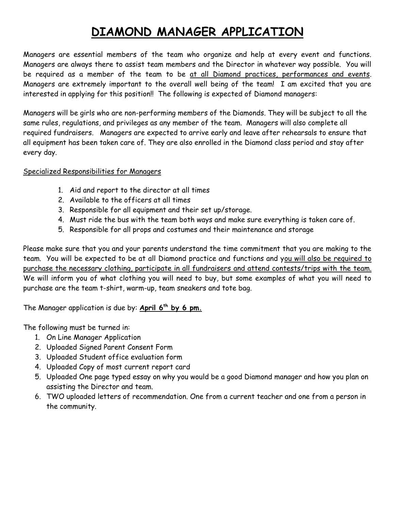# **DIAMOND MANAGER APPLICATION**

Managers are essential members of the team who organize and help at every event and functions. Managers are always there to assist team members and the Director in whatever way possible. You will be required as a member of the team to be at all Diamond practices, performances and events. Managers are extremely important to the overall well being of the team! I am excited that you are interested in applying for this position!! The following is expected of Diamond managers:

Managers will be girls who are non-performing members of the Diamonds. They will be subject to all the same rules, regulations, and privileges as any member of the team. Managers will also complete all required fundraisers. Managers are expected to arrive early and leave after rehearsals to ensure that all equipment has been taken care of. They are also enrolled in the Diamond class period and stay after every day.

### Specialized Responsibilities for Managers

- 1. Aid and report to the director at all times
- 2. Available to the officers at all times
- 3. Responsible for all equipment and their set up/storage.
- 4. Must ride the bus with the team both ways and make sure everything is taken care of.
- 5. Responsible for all props and costumes and their maintenance and storage

Please make sure that you and your parents understand the time commitment that you are making to the team. You will be expected to be at all Diamond practice and functions and you will also be required to purchase the necessary clothing, participate in all fundraisers and attend contests/trips with the team. We will inform you of what clothing you will need to buy, but some examples of what you will need to purchase are the team t-shirt, warm-up, team sneakers and tote bag.

The Manager application is due by: **April 6 th by 6 pm.**

The following must be turned in:

- 1. On Line Manager Application
- 2. Uploaded Signed Parent Consent Form
- 3. Uploaded Student office evaluation form
- 4. Uploaded Copy of most current report card
- 5. Uploaded One page typed essay on why you would be a good Diamond manager and how you plan on assisting the Director and team.
- 6. TWO uploaded letters of recommendation. One from a current teacher and one from a person in the community.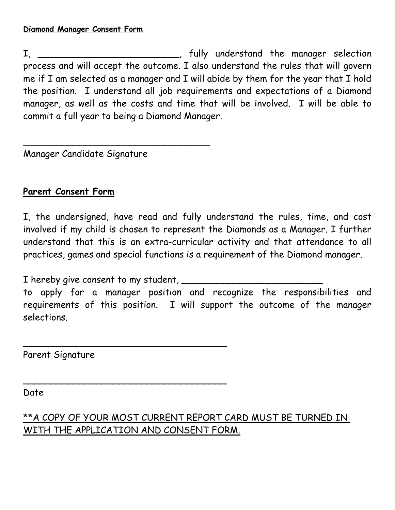I, \_\_\_\_\_\_\_\_\_\_\_\_\_\_\_\_\_\_\_\_\_\_, fully understand the manager selection process and will accept the outcome. I also understand the rules that will govern me if I am selected as a manager and I will abide by them for the year that I hold the position. I understand all job requirements and expectations of a Diamond manager, as well as the costs and time that will be involved. I will be able to commit a full year to being a Diamond Manager.

Manager Candidate Signature

\_\_\_\_\_\_\_\_\_\_\_\_\_\_\_\_\_\_\_\_\_\_\_\_\_\_\_\_\_\_\_\_\_

## **Parent Consent Form**

I, the undersigned, have read and fully understand the rules, time, and cost involved if my child is chosen to represent the Diamonds as a Manager. I further understand that this is an extra-curricular activity and that attendance to all practices, games and special functions is a requirement of the Diamond manager.

I hereby give consent to my student,

\_\_\_\_\_\_\_\_\_\_\_\_\_\_\_\_\_\_\_\_\_\_\_\_\_\_\_\_\_\_\_\_\_\_\_\_

\_\_\_\_\_\_\_\_\_\_\_\_\_\_\_\_\_\_\_\_\_\_\_\_\_\_\_\_\_\_\_\_\_\_\_\_

to apply for a manager position and recognize the responsibilities and requirements of this position. I will support the outcome of the manager selections.

Parent Signature

Date

\*\*A COPY OF YOUR MOST CURRENT REPORT CARD MUST BE TURNED IN WITH THE APPLICATION AND CONSENT FORM.